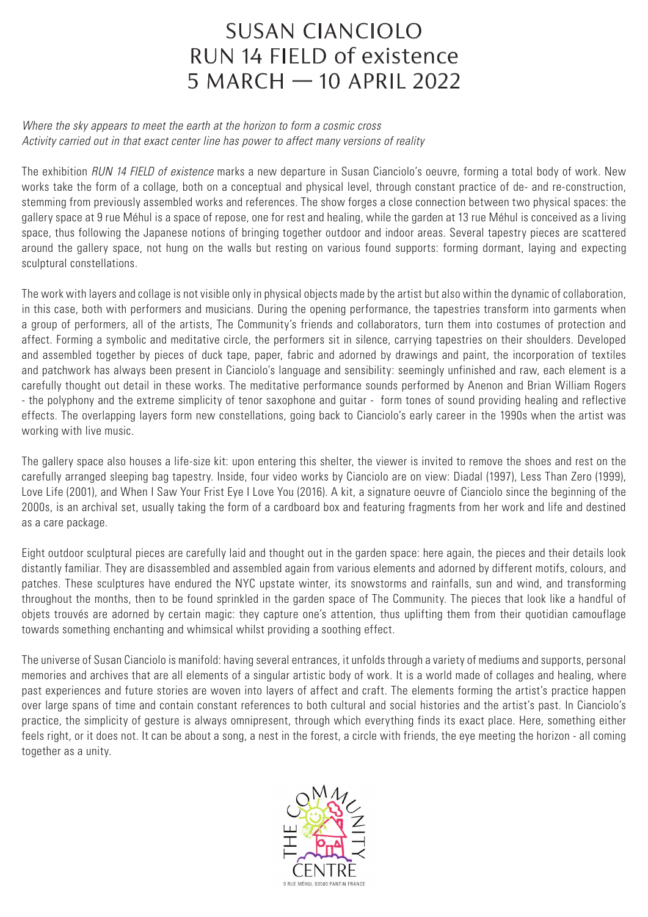## SuSan CianCiolo Run 14 FiElD of existence  $5$  MARCH  $-$  10 APRIL 2022

## *Where the sky appears to meet the earth at the horizon to form a cosmic cross Activity carried out in that exact center line has power to affect many versions of reality*

The exhibition *RUN 14 FIELD of existence* marks a new departure in Susan Cianciolo's oeuvre, forming a total body of work. New works take the form of a collage, both on a conceptual and physical level, through constant practice of de- and re-construction, stemming from previously assembled works and references. The show forges a close connection between two physical spaces: the gallery space at 9 rue Méhul is a space of repose, one for rest and healing, while the garden at 13 rue Méhul is conceived as a living space, thus following the Japanese notions of bringing together outdoor and indoor areas. Several tapestry pieces are scattered around the gallery space, not hung on the walls but resting on various found supports: forming dormant, laying and expecting sculptural constellations.

The work with layers and collage is not visible only in physical objects made by the artist but also within the dynamic of collaboration, in this case, both with performers and musicians. During the opening performance, the tapestries transform into garments when a group of performers, all of the artists, The Community's friends and collaborators, turn them into costumes of protection and affect. Forming a symbolic and meditative circle, the performers sit in silence, carrying tapestries on their shoulders. Developed and assembled together by pieces of duck tape, paper, fabric and adorned by drawings and paint, the incorporation of textiles and patchwork has always been present in Cianciolo's language and sensibility: seemingly unfinished and raw, each element is a carefully thought out detail in these works. The meditative performance sounds performed by Anenon and Brian William Rogers - the polyphony and the extreme simplicity of tenor saxophone and guitar - form tones of sound providing healing and reflective effects. The overlapping layers form new constellations, going back to Cianciolo's early career in the 1990s when the artist was working with live music.

The gallery space also houses a life-size kit: upon entering this shelter, the viewer is invited to remove the shoes and rest on the carefully arranged sleeping bag tapestry. Inside, four video works by Cianciolo are on view: Diadal (1997), Less Than Zero (1999), Love Life (2001), and When I Saw Your Frist Eye I Love You (2016). A kit, a signature oeuvre of Cianciolo since the beginning of the 2000s, is an archival set, usually taking the form of a cardboard box and featuring fragments from her work and life and destined as a care package.

Eight outdoor sculptural pieces are carefully laid and thought out in the garden space: here again, the pieces and their details look distantly familiar. They are disassembled and assembled again from various elements and adorned by different motifs, colours, and patches. These sculptures have endured the NYC upstate winter, its snowstorms and rainfalls, sun and wind, and transforming throughout the months, then to be found sprinkled in the garden space of The Community. The pieces that look like a handful of objets trouvés are adorned by certain magic: they capture one's attention, thus uplifting them from their quotidian camouflage towards something enchanting and whimsical whilst providing a soothing effect.

The universe of Susan Cianciolo is manifold: having several entrances, it unfolds through a variety of mediums and supports, personal memories and archives that are all elements of a singular artistic body of work. It is a world made of collages and healing, where past experiences and future stories are woven into layers of affect and craft. The elements forming the artist's practice happen over large spans of time and contain constant references to both cultural and social histories and the artist's past. In Cianciolo's practice, the simplicity of gesture is always omnipresent, through which everything finds its exact place. Here, something either feels right, or it does not. It can be about a song, a nest in the forest, a circle with friends, the eye meeting the horizon - all coming together as a unity.